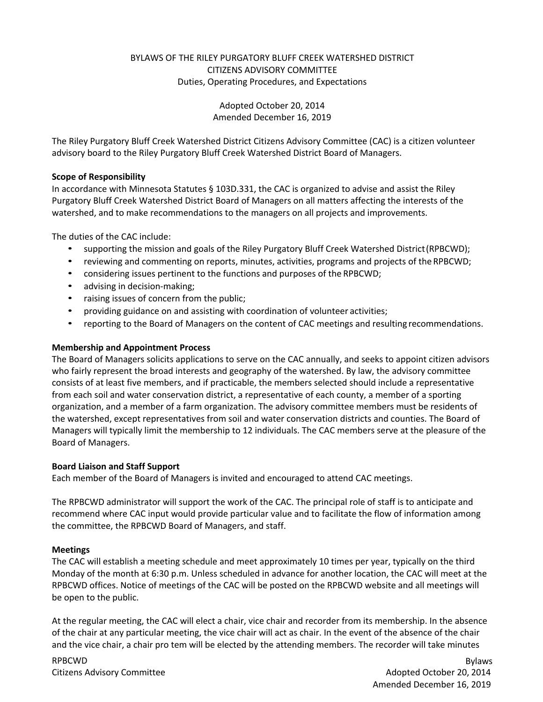# BYLAWS OF THE RILEY PURGATORY BLUFF CREEK WATERSHED DISTRICT CITIZENS ADVISORY COMMITTEE Duties, Operating Procedures, and Expectations

Adopted October 20, 2014 Amended December 16, 2019

The Riley Purgatory Bluff Creek Watershed District Citizens Advisory Committee (CAC) is a citizen volunteer advisory board to the Riley Purgatory Bluff Creek Watershed District Board of Managers.

#### **Scope of Responsibility**

In accordance with Minnesota Statutes § 103D.331, the CAC is organized to advise and assist the Riley Purgatory Bluff Creek Watershed District Board of Managers on all matters affecting the interests of the watershed, and to make recommendations to the managers on all projects and improvements.

The duties of the CAC include:

- supporting the mission and goals of the Riley Purgatory Bluff Creek Watershed District(RPBCWD);
- reviewing and commenting on reports, minutes, activities, programs and projects of the RPBCWD;
- considering issues pertinent to the functions and purposes of the RPBCWD;
- advising in decision-making;
- raising issues of concern from the public;
- providing guidance on and assisting with coordination of volunteer activities;
- reporting to the Board of Managers on the content of CAC meetings and resulting recommendations.

### **Membership and Appointment Process**

The Board of Managers solicits applications to serve on the CAC annually, and seeks to appoint citizen advisors who fairly represent the broad interests and geography of the watershed. By law, the advisory committee consists of at least five members, and if practicable, the members selected should include a representative from each soil and water conservation district, a representative of each county, a member of a sporting organization, and a member of a farm organization. The advisory committee members must be residents of the watershed, except representatives from soil and water conservation districts and counties. The Board of Managers will typically limit the membership to 12 individuals. The CAC members serve at the pleasure of the Board of Managers.

#### **Board Liaison and Staff Support**

Each member of the Board of Managers is invited and encouraged to attend CAC meetings.

The RPBCWD administrator will support the work of the CAC. The principal role of staff is to anticipate and recommend where CAC input would provide particular value and to facilitate the flow of information among the committee, the RPBCWD Board of Managers, and staff.

#### **Meetings**

The CAC will establish a meeting schedule and meet approximately 10 times per year, typically on the third Monday of the month at 6:30 p.m. Unless scheduled in advance for another location, the CAC will meet at the RPBCWD offices. Notice of meetings of the CAC will be posted on the RPBCWD website and all meetings will be open to the public.

At the regular meeting, the CAC will elect a chair, vice chair and recorder from its membership. In the absence of the chair at any particular meeting, the vice chair will act as chair. In the event of the absence of the chair and the vice chair, a chair pro tem will be elected by the attending members. The recorder will take minutes

RPBCWD Citizens Advisory Committee

Bylaws Adopted October 20, 2014 Amended December 16, 2019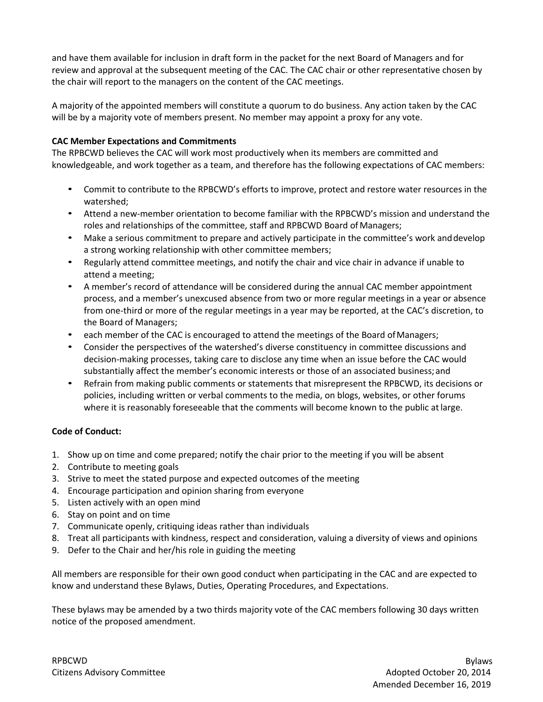and have them available for inclusion in draft form in the packet for the next Board of Managers and for review and approval at the subsequent meeting of the CAC. The CAC chair or other representative chosen by the chair will report to the managers on the content of the CAC meetings.

A majority of the appointed members will constitute a quorum to do business. Any action taken by the CAC will be by a majority vote of members present. No member may appoint a proxy for any vote.

### **CAC Member Expectations and Commitments**

The RPBCWD believes the CAC will work most productively when its members are committed and knowledgeable, and work together as a team, and therefore has the following expectations of CAC members:

- Commit to contribute to the RPBCWD's efforts to improve, protect and restore water resources in the watershed;
- Attend a new-member orientation to become familiar with the RPBCWD's mission and understand the roles and relationships of the committee, staff and RPBCWD Board ofManagers;
- Make a serious commitment to prepare and actively participate in the committee's work and develop a strong working relationship with other committee members;
- Regularly attend committee meetings, and notify the chair and vice chair in advance if unable to attend a meeting;
- A member's record of attendance will be considered during the annual CAC member appointment process, and a member's unexcused absence from two or more regular meetings in a year or absence from one-third or more of the regular meetings in a year may be reported, at the CAC's discretion, to the Board of Managers;
- each member of the CAC is encouraged to attend the meetings of the Board of Managers;
- Consider the perspectives of the watershed's diverse constituency in committee discussions and decision-making processes, taking care to disclose any time when an issue before the CAC would substantially affect the member's economic interests or those of an associated business; and
- Refrain from making public comments or statements that misrepresent the RPBCWD, its decisions or policies, including written or verbal comments to the media, on blogs, websites, or other forums where it is reasonably foreseeable that the comments will become known to the public at large.

## **Code of Conduct:**

- 1. Show up on time and come prepared; notify the chair prior to the meeting if you will be absent
- 2. Contribute to meeting goals
- 3. Strive to meet the stated purpose and expected outcomes of the meeting
- 4. Encourage participation and opinion sharing from everyone
- 5. Listen actively with an open mind
- 6. Stay on point and on time
- 7. Communicate openly, critiquing ideas rather than individuals
- 8. Treat all participants with kindness, respect and consideration, valuing a diversity of views and opinions
- 9. Defer to the Chair and her/his role in guiding the meeting

All members are responsible for their own good conduct when participating in the CAC and are expected to know and understand these Bylaws, Duties, Operating Procedures, and Expectations.

These bylaws may be amended by a two thirds majority vote of the CAC members following 30 days written notice of the proposed amendment.